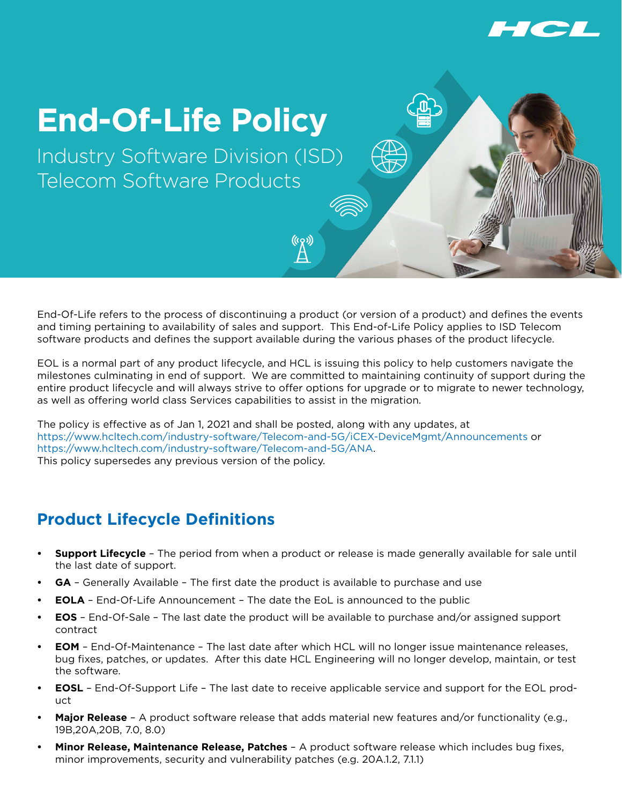

## **End-Of-Life Policy**

Industry Software Division (ISD) Telecom Software Products

End-Of-Life refers to the process of discontinuing a product (or version of a product) and defines the events and timing pertaining to availability of sales and support. This End-of-Life Policy applies to ISD Telecom software products and defines the support available during the various phases of the product lifecycle.

EOL is a normal part of any product lifecycle, and HCL is issuing this policy to help customers navigate the milestones culminating in end of support. We are committed to maintaining continuity of support during the entire product lifecycle and will always strive to offer options for upgrade or to migrate to newer technology, as well as offering world class Services capabilities to assist in the migration.

The policy is effective as of Jan 1, 2021 and shall be posted, along with any updates, at https://www.hcltech.com/industry-software/Telecom-and-5G/iCEX-DeviceMgmt/Announcements or https://www.hcltech.com/industry-software/Telecom-and-5G/ANA. This policy supersedes any previous version of the policy.

## **Product Lifecycle Definitions**

- **• Support Lifecycle** The period from when a product or release is made generally available for sale until the last date of support.
- **GA** Generally Available The first date the product is available to purchase and use
- **• EOLA** End-Of-Life Announcement The date the EoL is announced to the public
- **• EOS** End-Of-Sale The last date the product will be available to purchase and/or assigned support contract
- **• EOM** End-Of-Maintenance The last date after which HCL will no longer issue maintenance releases, bug fixes, patches, or updates. After this date HCL Engineering will no longer develop, maintain, or test the software.
- **• EOSL** End-Of-Support Life The last date to receive applicable service and support for the EOL product
- **• Major Release** A product software release that adds material new features and/or functionality (e.g., 19B,20A,20B, 7.0, 8.0)
- **• Minor Release, Maintenance Release, Patches** A product software release which includes bug fixes, minor improvements, security and vulnerability patches (e.g. 20A.1.2, 7.1.1)